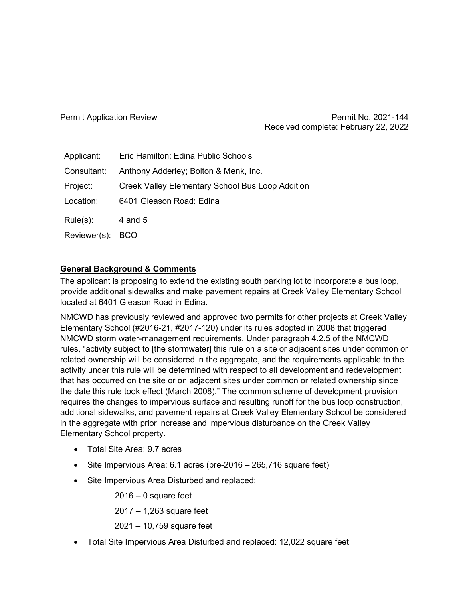Permit Application Review **Permit No. 2021-144** Received complete: February 22, 2022

| Applicant:       | Eric Hamilton: Edina Public Schools                     |
|------------------|---------------------------------------------------------|
| Consultant:      | Anthony Adderley; Bolton & Menk, Inc.                   |
| Project:         | <b>Creek Valley Elementary School Bus Loop Addition</b> |
| Location:        | 6401 Gleason Road: Edina                                |
| $Rule(s)$ :      | 4 and 5                                                 |
| Reviewer(s): BCO |                                                         |

## **General Background & Comments**

The applicant is proposing to extend the existing south parking lot to incorporate a bus loop, provide additional sidewalks and make pavement repairs at Creek Valley Elementary School located at 6401 Gleason Road in Edina.

NMCWD has previously reviewed and approved two permits for other projects at Creek Valley Elementary School (#2016-21, #2017-120) under its rules adopted in 2008 that triggered NMCWD storm water-management requirements. Under paragraph 4.2.5 of the NMCWD rules, "activity subject to [the stormwater] this rule on a site or adjacent sites under common or related ownership will be considered in the aggregate, and the requirements applicable to the activity under this rule will be determined with respect to all development and redevelopment that has occurred on the site or on adjacent sites under common or related ownership since the date this rule took effect (March 2008)." The common scheme of development provision requires the changes to impervious surface and resulting runoff for the bus loop construction, additional sidewalks, and pavement repairs at Creek Valley Elementary School be considered in the aggregate with prior increase and impervious disturbance on the Creek Valley Elementary School property.

- Total Site Area: 9.7 acres
- Site Impervious Area: 6.1 acres (pre-2016 265,716 square feet)
- Site Impervious Area Disturbed and replaced:

2016 – 0 square feet

2017 – 1,263 square feet

2021 – 10,759 square feet

• Total Site Impervious Area Disturbed and replaced: 12,022 square feet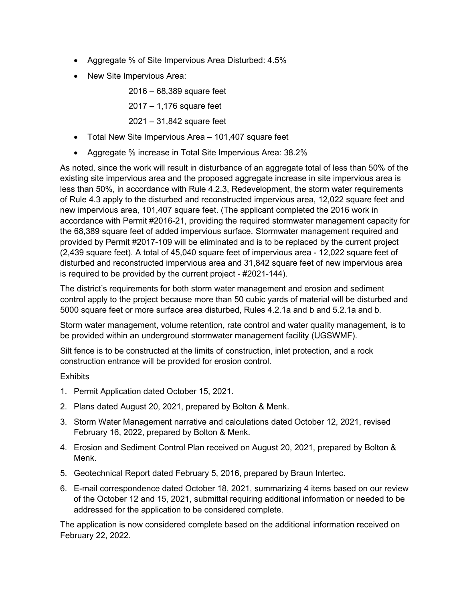- Aggregate % of Site Impervious Area Disturbed: 4.5%
- New Site Impervious Area:

2016 – 68,389 square feet

2017 – 1,176 square feet

2021 – 31,842 square feet

- Total New Site Impervious Area 101,407 square feet
- Aggregate % increase in Total Site Impervious Area: 38.2%

As noted, since the work will result in disturbance of an aggregate total of less than 50% of the existing site impervious area and the proposed aggregate increase in site impervious area is less than 50%, in accordance with Rule 4.2.3, Redevelopment, the storm water requirements of Rule 4.3 apply to the disturbed and reconstructed impervious area, 12,022 square feet and new impervious area, 101,407 square feet. (The applicant completed the 2016 work in accordance with Permit #2016-21, providing the required stormwater management capacity for the 68,389 square feet of added impervious surface. Stormwater management required and provided by Permit #2017-109 will be eliminated and is to be replaced by the current project (2,439 square feet). A total of 45,040 square feet of impervious area - 12,022 square feet of disturbed and reconstructed impervious area and 31,842 square feet of new impervious area is required to be provided by the current project - #2021-144).

The district's requirements for both storm water management and erosion and sediment control apply to the project because more than 50 cubic yards of material will be disturbed and 5000 square feet or more surface area disturbed, Rules 4.2.1a and b and 5.2.1a and b.

Storm water management, volume retention, rate control and water quality management, is to be provided within an underground stormwater management facility (UGSWMF).

Silt fence is to be constructed at the limits of construction, inlet protection, and a rock construction entrance will be provided for erosion control.

**Exhibits** 

- 1. Permit Application dated October 15, 2021.
- 2. Plans dated August 20, 2021, prepared by Bolton & Menk.
- 3. Storm Water Management narrative and calculations dated October 12, 2021, revised February 16, 2022, prepared by Bolton & Menk.
- 4. Erosion and Sediment Control Plan received on August 20, 2021, prepared by Bolton & Menk.
- 5. Geotechnical Report dated February 5, 2016, prepared by Braun Intertec.
- 6. E-mail correspondence dated October 18, 2021, summarizing 4 items based on our review of the October 12 and 15, 2021, submittal requiring additional information or needed to be addressed for the application to be considered complete.

The application is now considered complete based on the additional information received on February 22, 2022.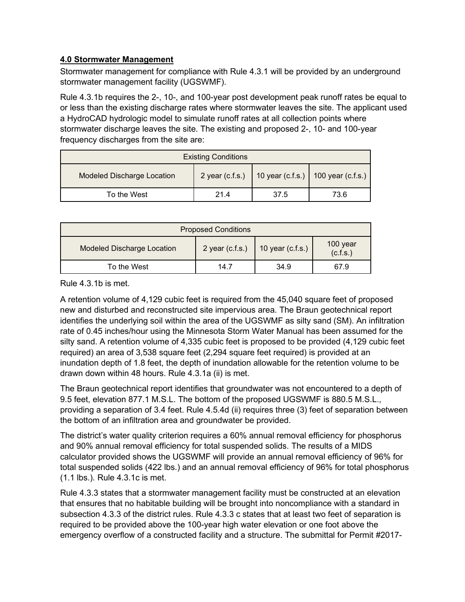## **4.0 Stormwater Management**

Stormwater management for compliance with Rule 4.3.1 will be provided by an underground stormwater management facility (UGSWMF).

Rule 4.3.1b requires the 2-, 10-, and 100-year post development peak runoff rates be equal to or less than the existing discharge rates where stormwater leaves the site. The applicant used a HydroCAD hydrologic model to simulate runoff rates at all collection points where stormwater discharge leaves the site. The existing and proposed 2-, 10- and 100-year frequency discharges from the site are:

|                                   | <b>Existing Conditions</b> |      |                                                        |
|-----------------------------------|----------------------------|------|--------------------------------------------------------|
| <b>Modeled Discharge Location</b> |                            |      | 2 year (c.f.s.)   10 year (c.f.s.)   100 year (c.f.s.) |
| To the West                       | 214                        | 37.5 | 73.6                                                   |

|                                   | <b>Proposed Conditions</b> |                    |                      |
|-----------------------------------|----------------------------|--------------------|----------------------|
| <b>Modeled Discharge Location</b> | 2 year $(c.f.s.)$          | 10 year $(c.f.s.)$ | 100 year<br>(c.f.s.) |
| To the West                       | 14.7                       | 34.9               | 67.9                 |

Rule 4.3.1b is met.

A retention volume of 4,129 cubic feet is required from the 45,040 square feet of proposed new and disturbed and reconstructed site impervious area. The Braun geotechnical report identifies the underlying soil within the area of the UGSWMF as silty sand (SM). An infiltration rate of 0.45 inches/hour using the Minnesota Storm Water Manual has been assumed for the silty sand. A retention volume of 4,335 cubic feet is proposed to be provided (4,129 cubic feet required) an area of 3,538 square feet (2,294 square feet required) is provided at an inundation depth of 1.8 feet, the depth of inundation allowable for the retention volume to be drawn down within 48 hours. Rule 4.3.1a (ii) is met.

The Braun geotechnical report identifies that groundwater was not encountered to a depth of 9.5 feet, elevation 877.1 M.S.L. The bottom of the proposed UGSWMF is 880.5 M.S.L., providing a separation of 3.4 feet. Rule 4.5.4d (ii) requires three (3) feet of separation between the bottom of an infiltration area and groundwater be provided.

The district's water quality criterion requires a 60% annual removal efficiency for phosphorus and 90% annual removal efficiency for total suspended solids. The results of a MIDS calculator provided shows the UGSWMF will provide an annual removal efficiency of 96% for total suspended solids (422 lbs.) and an annual removal efficiency of 96% for total phosphorus (1.1 lbs.). Rule 4.3.1c is met.

Rule 4.3.3 states that a stormwater management facility must be constructed at an elevation that ensures that no habitable building will be brought into noncompliance with a standard in subsection 4.3.3 of the district rules. Rule 4.3.3 c states that at least two feet of separation is required to be provided above the 100-year high water elevation or one foot above the emergency overflow of a constructed facility and a structure. The submittal for Permit #2017-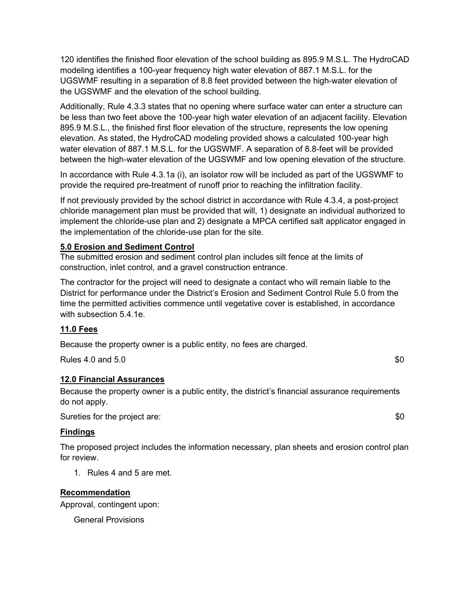120 identifies the finished floor elevation of the school building as 895.9 M.S.L. The HydroCAD modeling identifies a 100-year frequency high water elevation of 887.1 M.S.L. for the UGSWMF resulting in a separation of 8.8 feet provided between the high-water elevation of the UGSWMF and the elevation of the school building.

Additionally, Rule 4.3.3 states that no opening where surface water can enter a structure can be less than two feet above the 100-year high water elevation of an adjacent facility. Elevation 895.9 M.S.L., the finished first floor elevation of the structure, represents the low opening elevation. As stated, the HydroCAD modeling provided shows a calculated 100-year high water elevation of 887.1 M.S.L. for the UGSWMF. A separation of 8.8-feet will be provided between the high-water elevation of the UGSWMF and low opening elevation of the structure.

In accordance with Rule 4.3.1a (i), an isolator row will be included as part of the UGSWMF to provide the required pre-treatment of runoff prior to reaching the infiltration facility.

If not previously provided by the school district in accordance with Rule 4.3.4, a post-project chloride management plan must be provided that will, 1) designate an individual authorized to implement the chloride-use plan and 2) designate a MPCA certified salt applicator engaged in the implementation of the chloride-use plan for the site.

#### **5.0 Erosion and Sediment Control**

The submitted erosion and sediment control plan includes silt fence at the limits of construction, inlet control, and a gravel construction entrance.

The contractor for the project will need to designate a contact who will remain liable to the District for performance under the District's Erosion and Sediment Control Rule 5.0 from the time the permitted activities commence until vegetative cover is established, in accordance with subsection 5.4.1e.

## **11.0 Fees**

Because the property owner is a public entity, no fees are charged.

Rules 4.0 and 5.0 \$0

# **12.0 Financial Assurances**

Because the property owner is a public entity, the district's financial assurance requirements do not apply.

Sureties for the project are:  $$0$ 

#### **Findings**

The proposed project includes the information necessary, plan sheets and erosion control plan for review.

1. Rules 4 and 5 are met.

#### **Recommendation**

Approval, contingent upon:

General Provisions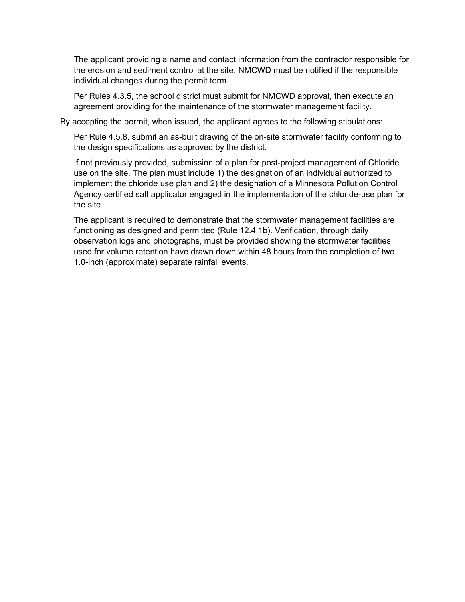The applicant providing a name and contact information from the contractor responsible for the erosion and sediment control at the site. NMCWD must be notified if the responsible individual changes during the permit term.

Per Rules 4.3.5, the school district must submit for NMCWD approval, then execute an agreement providing for the maintenance of the stormwater management facility.

By accepting the permit, when issued, the applicant agrees to the following stipulations:

Per Rule 4.5.8, submit an as-built drawing of the on-site stormwater facility conforming to the design specifications as approved by the district.

If not previously provided, submission of a plan for post-project management of Chloride use on the site. The plan must include 1) the designation of an individual authorized to implement the chloride use plan and 2) the designation of a Minnesota Pollution Control Agency certified salt applicator engaged in the implementation of the chloride-use plan for the site.

The applicant is required to demonstrate that the stormwater management facilities are functioning as designed and permitted (Rule 12.4.1b). Verification, through daily observation logs and photographs, must be provided showing the stormwater facilities used for volume retention have drawn down within 48 hours from the completion of two 1.0-inch (approximate) separate rainfall events.